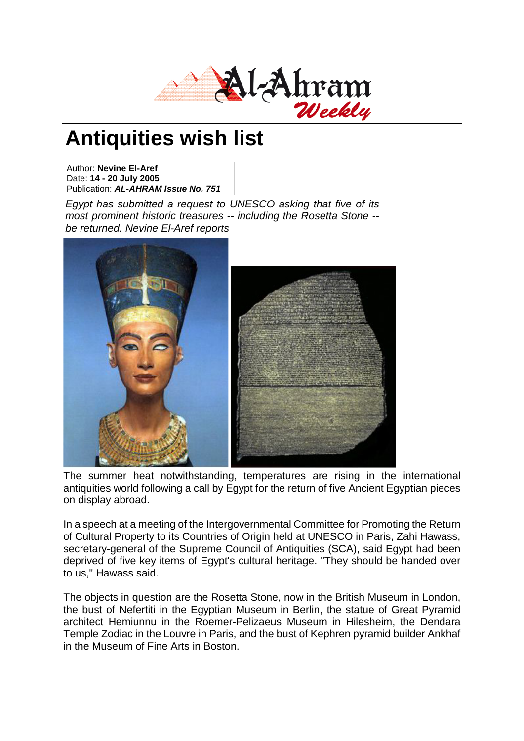

## **Antiquities wish list**

Author: **Nevine El-Aref** Date: **14 - 20 July 2005** Publication: *AL-AHRAM Issue No. 751*

*Egypt has submitted a request to UNESCO asking that five of its most prominent historic treasures -- including the Rosetta Stone - be returned. Nevine El-Aref reports*



The summer heat notwithstanding, temperatures are rising in the international antiquities world following a call by Egypt for the return of five Ancient Egyptian pieces on display abroad.

In a speech at a meeting of the Intergovernmental Committee for Promoting the Return of Cultural Property to its Countries of Origin held at UNESCO in Paris, Zahi Hawass, secretary-general of the Supreme Council of Antiquities (SCA), said Egypt had been deprived of five key items of Egypt's cultural heritage. "They should be handed over to us," Hawass said.

The objects in question are the Rosetta Stone, now in the British Museum in London, the bust of Nefertiti in the Egyptian Museum in Berlin, the statue of Great Pyramid architect Hemiunnu in the Roemer-Pelizaeus Museum in Hilesheim, the Dendara Temple Zodiac in the Louvre in Paris, and the bust of Kephren pyramid builder Ankhaf in the Museum of Fine Arts in Boston.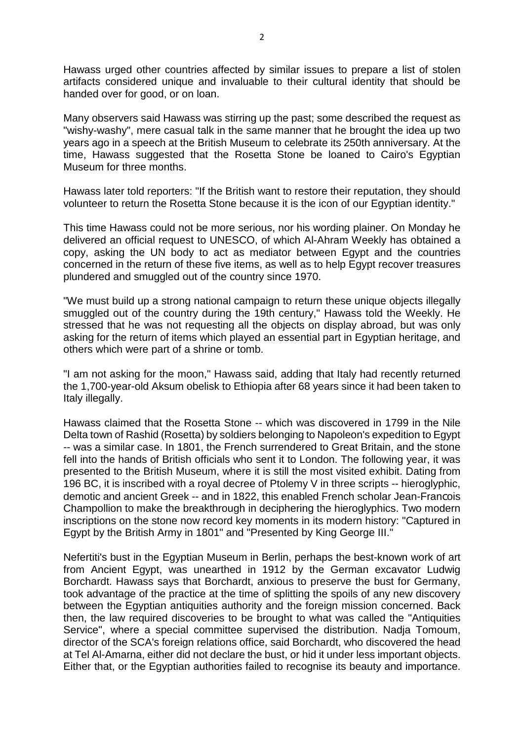Hawass urged other countries affected by similar issues to prepare a list of stolen artifacts considered unique and invaluable to their cultural identity that should be handed over for good, or on loan.

Many observers said Hawass was stirring up the past; some described the request as "wishy-washy", mere casual talk in the same manner that he brought the idea up two years ago in a speech at the British Museum to celebrate its 250th anniversary. At the time, Hawass suggested that the Rosetta Stone be loaned to Cairo's Egyptian Museum for three months.

Hawass later told reporters: "If the British want to restore their reputation, they should volunteer to return the Rosetta Stone because it is the icon of our Egyptian identity."

This time Hawass could not be more serious, nor his wording plainer. On Monday he delivered an official request to UNESCO, of which Al-Ahram Weekly has obtained a copy, asking the UN body to act as mediator between Egypt and the countries concerned in the return of these five items, as well as to help Egypt recover treasures plundered and smuggled out of the country since 1970.

"We must build up a strong national campaign to return these unique objects illegally smuggled out of the country during the 19th century," Hawass told the Weekly. He stressed that he was not requesting all the objects on display abroad, but was only asking for the return of items which played an essential part in Egyptian heritage, and others which were part of a shrine or tomb.

"I am not asking for the moon," Hawass said, adding that Italy had recently returned the 1,700-year-old Aksum obelisk to Ethiopia after 68 years since it had been taken to Italy illegally.

Hawass claimed that the Rosetta Stone -- which was discovered in 1799 in the Nile Delta town of Rashid (Rosetta) by soldiers belonging to Napoleon's expedition to Egypt -- was a similar case. In 1801, the French surrendered to Great Britain, and the stone fell into the hands of British officials who sent it to London. The following year, it was presented to the British Museum, where it is still the most visited exhibit. Dating from 196 BC, it is inscribed with a royal decree of Ptolemy V in three scripts -- hieroglyphic, demotic and ancient Greek -- and in 1822, this enabled French scholar Jean-Francois Champollion to make the breakthrough in deciphering the hieroglyphics. Two modern inscriptions on the stone now record key moments in its modern history: "Captured in Egypt by the British Army in 1801" and "Presented by King George III."

Nefertiti's bust in the Egyptian Museum in Berlin, perhaps the best-known work of art from Ancient Egypt, was unearthed in 1912 by the German excavator Ludwig Borchardt. Hawass says that Borchardt, anxious to preserve the bust for Germany, took advantage of the practice at the time of splitting the spoils of any new discovery between the Egyptian antiquities authority and the foreign mission concerned. Back then, the law required discoveries to be brought to what was called the "Antiquities Service", where a special committee supervised the distribution. Nadja Tomoum, director of the SCA's foreign relations office, said Borchardt, who discovered the head at Tel Al-Amarna, either did not declare the bust, or hid it under less important objects. Either that, or the Egyptian authorities failed to recognise its beauty and importance.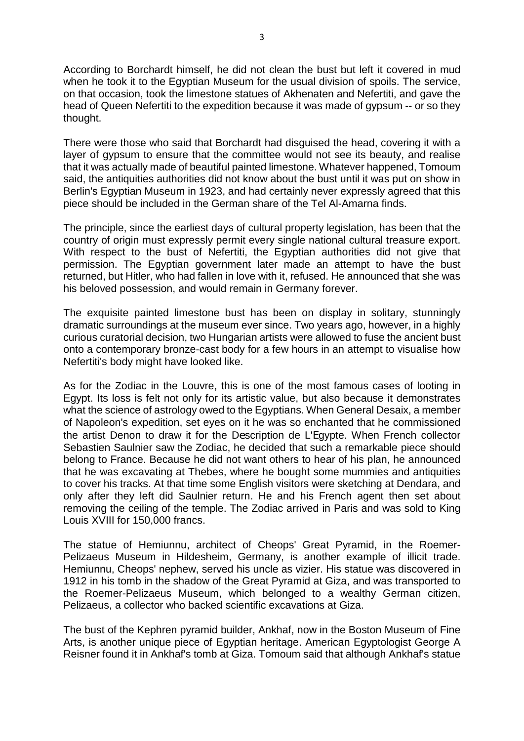According to Borchardt himself, he did not clean the bust but left it covered in mud when he took it to the Egyptian Museum for the usual division of spoils. The service, on that occasion, took the limestone statues of Akhenaten and Nefertiti, and gave the head of Queen Nefertiti to the expedition because it was made of gypsum -- or so they thought.

There were those who said that Borchardt had disguised the head, covering it with a layer of gypsum to ensure that the committee would not see its beauty, and realise that it was actually made of beautiful painted limestone. Whatever happened, Tomoum said, the antiquities authorities did not know about the bust until it was put on show in Berlin's Egyptian Museum in 1923, and had certainly never expressly agreed that this piece should be included in the German share of the Tel Al-Amarna finds.

The principle, since the earliest days of cultural property legislation, has been that the country of origin must expressly permit every single national cultural treasure export. With respect to the bust of Nefertiti, the Egyptian authorities did not give that permission. The Egyptian government later made an attempt to have the bust returned, but Hitler, who had fallen in love with it, refused. He announced that she was his beloved possession, and would remain in Germany forever.

The exquisite painted limestone bust has been on display in solitary, stunningly dramatic surroundings at the museum ever since. Two years ago, however, in a highly curious curatorial decision, two Hungarian artists were allowed to fuse the ancient bust onto a contemporary bronze-cast body for a few hours in an attempt to visualise how Nefertiti's body might have looked like.

As for the Zodiac in the Louvre, this is one of the most famous cases of looting in Egypt. Its loss is felt not only for its artistic value, but also because it demonstrates what the science of astrology owed to the Egyptians. When General Desaix, a member of Napoleon's expedition, set eyes on it he was so enchanted that he commissioned the artist Denon to draw it for the Description de L'Egypte. When French collector Sebastien Saulnier saw the Zodiac, he decided that such a remarkable piece should belong to France. Because he did not want others to hear of his plan, he announced that he was excavating at Thebes, where he bought some mummies and antiquities to cover his tracks. At that time some English visitors were sketching at Dendara, and only after they left did Saulnier return. He and his French agent then set about removing the ceiling of the temple. The Zodiac arrived in Paris and was sold to King Louis XVIII for 150,000 francs.

The statue of Hemiunnu, architect of Cheops' Great Pyramid, in the Roemer-Pelizaeus Museum in Hildesheim, Germany, is another example of illicit trade. Hemiunnu, Cheops' nephew, served his uncle as vizier. His statue was discovered in 1912 in his tomb in the shadow of the Great Pyramid at Giza, and was transported to the Roemer-Pelizaeus Museum, which belonged to a wealthy German citizen, Pelizaeus, a collector who backed scientific excavations at Giza.

The bust of the Kephren pyramid builder, Ankhaf, now in the Boston Museum of Fine Arts, is another unique piece of Egyptian heritage. American Egyptologist George A Reisner found it in Ankhaf's tomb at Giza. Tomoum said that although Ankhaf's statue